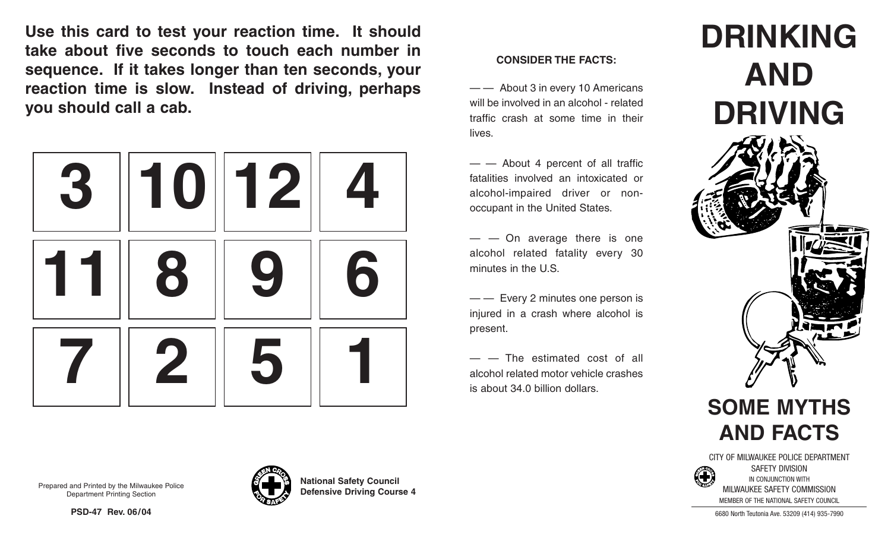**Use this card to test your reaction time. It should take about five seconds to touch each number in sequence. If it takes longer than ten seconds, your reaction time is slow. Instead of driving, perhaps you should call a cab.**



## **CONSIDER THE FACTS:**

— — About 3 in every 10 Americans will be involved in an alcohol - related traffic crash at some time in their lives.

 $-$  About 4 percent of all traffic fatalities involved an intoxicated or alcohol-impaired driver or nonoccupant in the United States.

 $-$  On average there is one alcohol related fatality every 30 minutes in the U.S.

— — Every 2 minutes one person is injured in a crash where alcohol is present.

 $-$  The estimated cost of all alcohol related motor vehicle crashes is about 34.0 billion dollars.



CITY OF MILWAUKEE POLICE DEPARTMENT SAFETY DIVISION IN CONJUNCTION WITH MILWAUKEE SAFETY COMMISSION MEMBER OF THE NATIONAL SAFETY COUNCIL

Prepared and Printed by the Milwaukee Police Department Printing Section



6680 North Teutonia Ave. 53209 (414) 935-7990